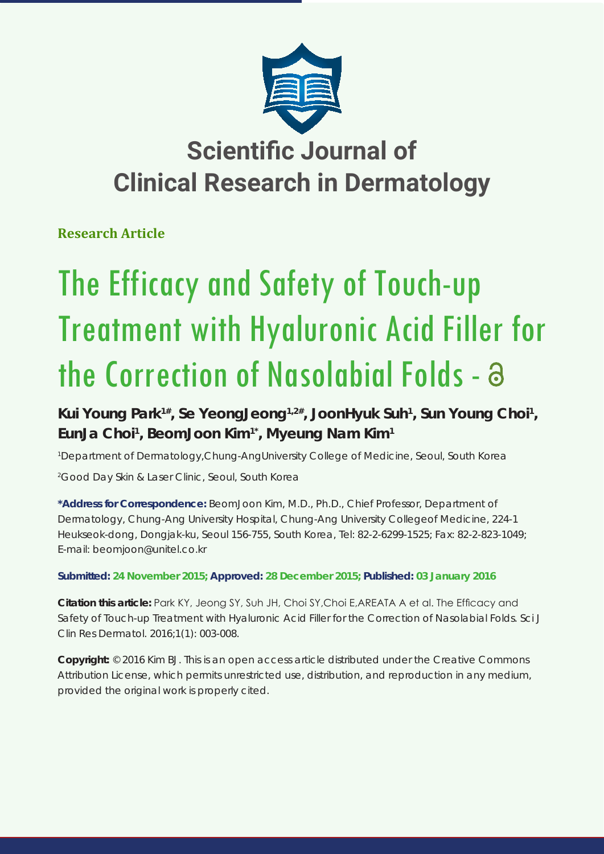

# **Scientific Journal of Clinical Research in Dermatology**

**Research Article**

# The Efficacy and Safety of Touch-up Treatment with Hyaluronic Acid Filler for the Correction of Nasolabial Folds -

Kui Young Park<sup>1#</sup>, Se YeongJeong<sup>1,2#</sup>, JoonHyuk Suh<sup>1</sup>, Sun Young Choi<sup>1</sup>, **EunJa Choi1 , BeomJoon Kim1\*, Myeung Nam Kim1**

*1 Department of Dermatology,Chung-AngUniversity College of Medicine, Seoul, South Korea 2 Good Day Skin & Laser Clinic, Seoul, South Korea*

**\*Address for Correspondence:** BeomJoon Kim, M.D., Ph.D., Chief Professor, Department of Dermatology, Chung-Ang University Hospital, Chung-Ang University Collegeof Medicine, 224-1 Heukseok-dong, Dongjak-ku, Seoul 156-755, South Korea, Tel: 82-2-6299-1525; Fax: 82-2-823-1049; E-mail: beomjoon@unitel.co.kr

**Submitted: 24 November 2015; Approved: 28 December 2015; Published: 03 January 2016**

**Citation this article:** Park KY, Jeong SY, Suh JH, Choi SY,Choi E,AREATA A et al. The Efficacy and Safety of Touch-up Treatment with Hyaluronic Acid Filler for the Correction of Nasolabial Folds. Sci J Clin Res Dermatol. 2016;1(1): 003-008.

**Copyright:** © 2016 Kim BJ. This is an open access article distributed under the Creative Commons Attribution License, which permits unrestricted use, distribution, and reproduction in any medium, provided the original work is properly cited.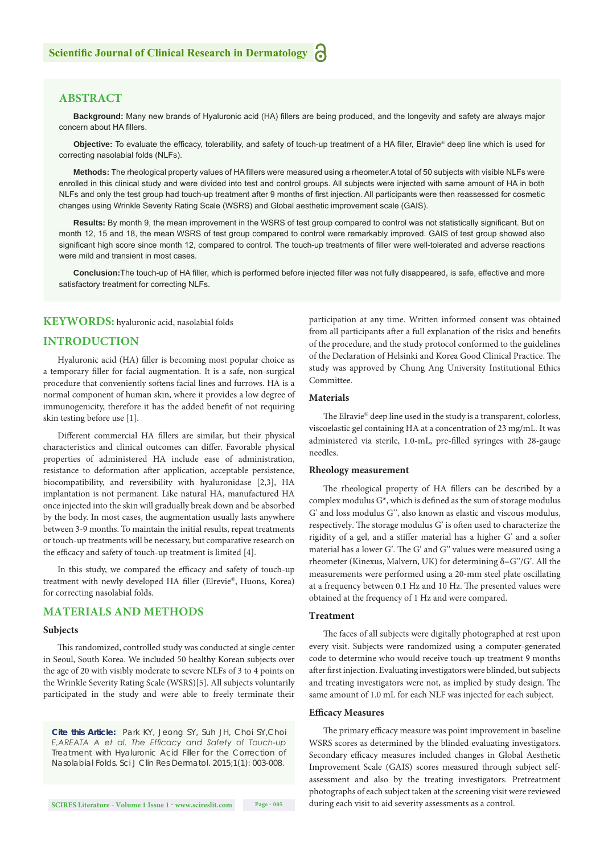# **ABSTRACT**

**Background:** Many new brands of Hyaluronic acid (HA) fillers are being produced, and the longevity and safety are always major concern about HA fillers.

**Objective:** To evaluate the efficacy, tolerability, and safety of touch-up treatment of a HA filler, Elravie® deep line which is used for correcting nasolabial folds (NLFs).

**Methods:** The rheological property values of HA fillers were measured using a rheometer.A total of 50 subjects with visible NLFs were enrolled in this clinical study and were divided into test and control groups. All subjects were injected with same amount of HA in both NLFs and only the test group had touch-up treatment after 9 months of first injection. All participants were then reassessed for cosmetic changes using Wrinkle Severity Rating Scale (WSRS) and Global aesthetic improvement scale (GAIS).

**Results:** By month 9, the mean improvement in the WSRS of test group compared to control was not statistically significant. But on month 12, 15 and 18, the mean WSRS of test group compared to control were remarkably improved. GAIS of test group showed also significant high score since month 12, compared to control. The touch-up treatments of filler were well-tolerated and adverse reactions were mild and transient in most cases.

**Conclusion:**The touch-up of HA filler, which is performed before injected filler was not fully disappeared, is safe, effective and more satisfactory treatment for correcting NLFs.

#### **KEYWORDS:** hyaluronic acid, nasolabial folds

#### **INTRODUCTION**

Hyaluronic acid (HA) filler is becoming most popular choice as a temporary filler for facial augmentation. It is a safe, non-surgical procedure that conveniently softens facial lines and furrows. HA is a normal component of human skin, where it provides a low degree of immunogenicity, therefore it has the added benefit of not requiring skin testing before use [1].

Different commercial HA fillers are similar, but their physical characteristics and clinical outcomes can differ. Favorable physical properties of administered HA include ease of administration, resistance to deformation after application, acceptable persistence, biocompatibility, and reversibility with hyaluronidase [2,3], HA implantation is not permanent. Like natural HA, manufactured HA once injected into the skin will gradually break down and be absorbed by the body. In most cases, the augmentation usually lasts anywhere between 3-9 months. To maintain the initial results, repeat treatments or touch-up treatments will be necessary, but comparative research on the efficacy and safety of touch-up treatment is limited [4].

In this study, we compared the efficacy and safety of touch-up treatment with newly developed HA filler (Elrevie®, Huons, Korea) for correcting nasolabial folds.

#### **MATERIALS AND METHODS**

# **Subjects**

This randomized, controlled study was conducted at single center in Seoul, South Korea. We included 50 healthy Korean subjects over the age of 20 with visibly moderate to severe NLFs of 3 to 4 points on the Wrinkle Severity Rating Scale (WSRS)[5]. All subjects voluntarily participated in the study and were able to freely terminate their

*Cite this Article: Park KY, Jeong SY, Suh JH, Choi SY,Choi E,AREATA A et al. The Efficacy and Safety of Touch-up Treatment with Hyaluronic Acid Filler for the Correction of Nasolabial Folds. Sci J Clin Res Dermatol. 2015;1(1): 003-008.*

participation at any time. Written informed consent was obtained from all participants after a full explanation of the risks and benefits of the procedure, and the study protocol conformed to the guidelines of the Declaration of Helsinki and Korea Good Clinical Practice. The study was approved by Chung Ang University Institutional Ethics Committee.

#### **Materials**

The Elravie® deep line used in the study is a transparent, colorless, viscoelastic gel containing HA at a concentration of 23 mg/mL. It was administered via sterile, 1.0-mL, pre-filled syringes with 28-gauge needles.

#### **Rheology measurement**

The rheological property of HA fillers can be described by a complex modulus G\*, which is defined as the sum of storage modulus G' and loss modulus G'', also known as elastic and viscous modulus, respectively. The storage modulus G' is often used to characterize the rigidity of a gel, and a stiffer material has a higher G' and a softer material has a lower G'. The G' and G'' values were measured using a rheometer (Kinexus, Malvern, UK) for determining  $δ = G''/G'$ . All the measurements were performed using a 20-mm steel plate oscillating at a frequency between 0.1 Hz and 10 Hz. The presented values were obtained at the frequency of 1 Hz and were compared.

## **Treatment**

The faces of all subjects were digitally photographed at rest upon every visit. Subjects were randomized using a computer-generated code to determine who would receive touch-up treatment 9 months after first injection. Evaluating investigators were blinded, but subjects and treating investigators were not, as implied by study design. The same amount of 1.0 mL for each NLF was injected for each subject.

#### **Efficacy Measures**

The primary efficacy measure was point improvement in baseline WSRS scores as determined by the blinded evaluating investigators. Secondary efficacy measures included changes in Global Aesthetic Improvement Scale (GAIS) scores measured through subject selfassessment and also by the treating investigators. Pretreatment photographs of each subject taken at the screening visit were reviewed during each visit to aid severity assessments as a control.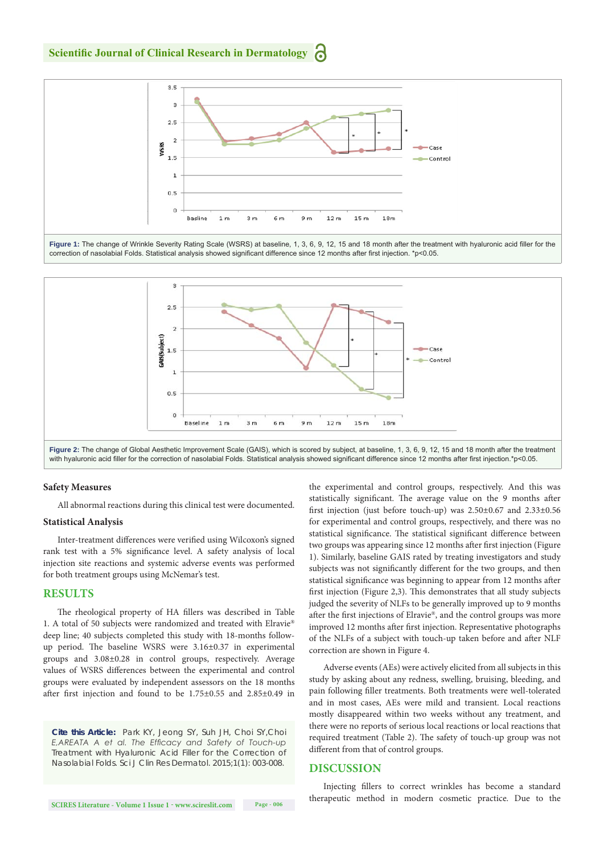**Scientific Journal of Clinical Research in Dermatology**



Figure 1: The change of Wrinkle Severity Rating Scale (WSRS) at baseline, 1, 3, 6, 9, 12, 15 and 18 month after the treatment with hyaluronic acid filler for the correction of nasolabial Folds. Statistical analysis showed significant difference since 12 months after first injection. \*p<0.05.



#### **Safety Measures**

All abnormal reactions during this clinical test were documented.

#### **Statistical Analysis**

Inter-treatment differences were verified using Wilcoxon's signed rank test with a 5% significance level. A safety analysis of local injection site reactions and systemic adverse events was performed for both treatment groups using McNemar's test.

## **RESULTS**

The rheological property of HA fillers was described in Table 1. A total of 50 subjects were randomized and treated with Elravie® deep line; 40 subjects completed this study with 18-months followup period. The baseline WSRS were 3.16±0.37 in experimental groups and 3.08±0.28 in control groups, respectively. Average values of WSRS differences between the experimental and control groups were evaluated by independent assessors on the 18 months after first injection and found to be 1.75±0.55 and 2.85±0.49 in

*Cite this Article: Park KY, Jeong SY, Suh JH, Choi SY,Choi E,AREATA A et al. The Efficacy and Safety of Touch-up Treatment with Hyaluronic Acid Filler for the Correction of Nasolabial Folds. Sci J Clin Res Dermatol. 2015;1(1): 003-008.*

the experimental and control groups, respectively. And this was statistically significant. The average value on the 9 months after first injection (just before touch-up) was 2.50±0.67 and 2.33±0.56 for experimental and control groups, respectively, and there was no statistical significance. The statistical significant difference between two groups was appearing since 12 months after first injection (Figure 1). Similarly, baseline GAIS rated by treating investigators and study subjects was not significantly different for the two groups, and then statistical significance was beginning to appear from 12 months after first injection (Figure 2,3). This demonstrates that all study subjects judged the severity of NLFs to be generally improved up to 9 months after the first injections of Elravie®, and the control groups was more improved 12 months after first injection. Representative photographs of the NLFs of a subject with touch-up taken before and after NLF correction are shown in Figure 4.

Adverse events (AEs) were actively elicited from all subjects in this study by asking about any redness, swelling, bruising, bleeding, and pain following filler treatments. Both treatments were well-tolerated and in most cases, AEs were mild and transient. Local reactions mostly disappeared within two weeks without any treatment, and there were no reports of serious local reactions or local reactions that required treatment (Table 2). The safety of touch-up group was not different from that of control groups.

#### **DISCUSSION**

Injecting fillers to correct wrinkles has become a standard therapeutic method in modern cosmetic practice. Due to the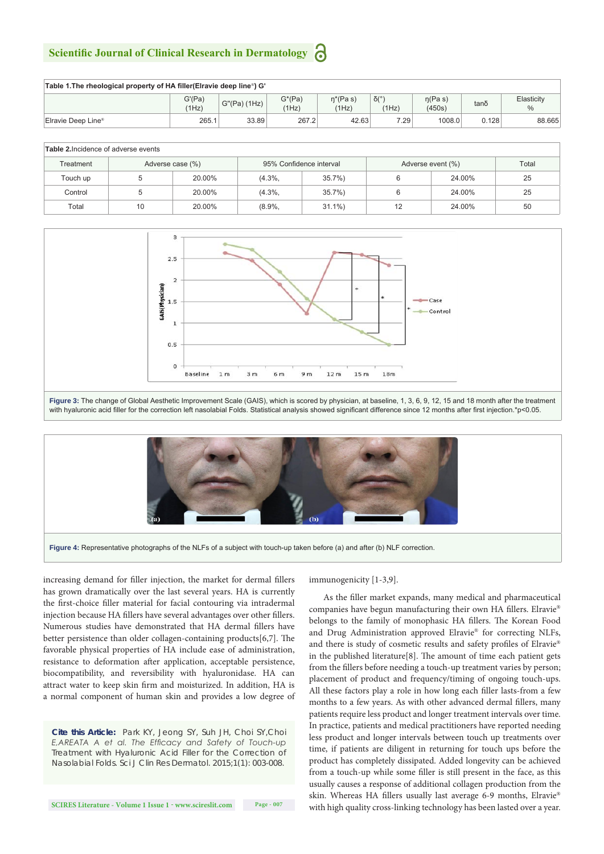# **Scientific Journal of Clinical Research in Dermatology**

| Table 1. The rheological property of HA filler (Elravie deep line <sup>®</sup> ) G' |                 |                 |                    |                      |                                |                        |       |                             |  |  |  |  |
|-------------------------------------------------------------------------------------|-----------------|-----------------|--------------------|----------------------|--------------------------------|------------------------|-------|-----------------------------|--|--|--|--|
|                                                                                     | G'(Pa)<br>(1Hz) | $G''(Pa)$ (1Hz) | $G^*(Pa)$<br>(1Hz) | $n^*(Pa s)$<br>(1Hz) | $\delta$ <sup>o</sup><br>(1Hz) | $\eta$ (Pas)<br>(450s) | tano  | Elasticity<br>$\frac{0}{0}$ |  |  |  |  |
| Elravie Deep Line®                                                                  | 265.1           | 33.89           | 267.2              | 42.63                | 7.29                           | 1008.0                 | 0.128 | 88.665                      |  |  |  |  |

#### **Table 2.**Incidence of adverse events

| Treatment | Adverse case (%) |        |          | 95% Confidence interval | Adverse event (%) | Total  |    |
|-----------|------------------|--------|----------|-------------------------|-------------------|--------|----|
| Touch up  |                  | 20.00% | $(4.3\%$ | 35.7%                   |                   | 24.00% | 25 |
| Control   |                  | 20.00% | $(4.3\%$ | 35.7%                   |                   | 24.00% | 25 |
| Total     | 10               | 20.00% | $(8.9\%$ | $31.1\%$                | 12                | 24.00% | 50 |







**Figure 4:** Representative photographs of the NLFs of a subject with touch-up taken before (a) and after (b) NLF correction.

increasing demand for filler injection, the market for dermal fillers has grown dramatically over the last several years. HA is currently the first-choice filler material for facial contouring via intradermal injection because HA fillers have several advantages over other fillers. Numerous studies have demonstrated that HA dermal fillers have better persistence than older collagen-containing products[6,7]. The favorable physical properties of HA include ease of administration, resistance to deformation after application, acceptable persistence, biocompatibility, and reversibility with hyaluronidase. HA can attract water to keep skin firm and moisturized. In addition, HA is a normal component of human skin and provides a low degree of

*Cite this Article: Park KY, Jeong SY, Suh JH, Choi SY,Choi E,AREATA A et al. The Efficacy and Safety of Touch-up Treatment with Hyaluronic Acid Filler for the Correction of Nasolabial Folds. Sci J Clin Res Dermatol. 2015;1(1): 003-008.*

immunogenicity [1-3,9].

As the filler market expands, many medical and pharmaceutical companies have begun manufacturing their own HA fillers. Elravie® belongs to the family of monophasic HA fillers. The Korean Food and Drug Administration approved Elravie® for correcting NLFs, and there is study of cosmetic results and safety profiles of Elravie® in the published literature[8]. The amount of time each patient gets from the fillers before needing a touch-up treatment varies by person; placement of product and frequency/timing of ongoing touch-ups. All these factors play a role in how long each filler lasts-from a few months to a few years. As with other advanced dermal fillers, many patients require less product and longer treatment intervals over time. In practice, patients and medical practitioners have reported needing less product and longer intervals between touch up treatments over time, if patients are diligent in returning for touch ups before the product has completely dissipated. Added longevity can be achieved from a touch-up while some filler is still present in the face, as this usually causes a response of additional collagen production from the skin. Whereas HA fillers usually last average 6-9 months, Elravie® with high quality cross-linking technology has been lasted over a year.